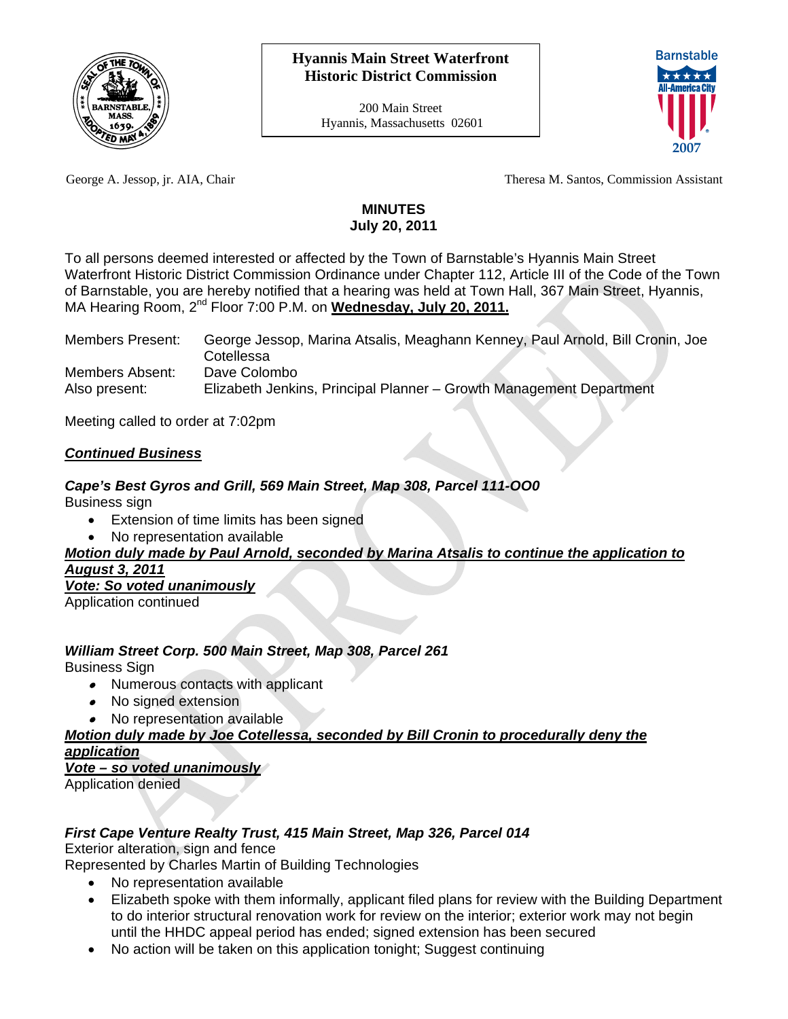

200 Main Street Hyannis, Massachusetts 02601



George A. Jessop, jr. AIA, Chair Theresa M. Santos, Commission Assistant

## **MINUTES July 20, 2011**

To all persons deemed interested or affected by the Town of Barnstable's Hyannis Main Street Waterfront Historic District Commission Ordinance under Chapter 112, Article III of the Code of the Town of Barnstable, you are hereby notified that a hearing was held at Town Hall, 367 Main Street, Hyannis, MA Hearing Room, 2nd Floor 7:00 P.M. on **Wednesday, July 20, 2011.**

| <b>Members Present:</b> | George Jessop, Marina Atsalis, Meaghann Kenney, Paul Arnold, Bill Cronin, Joe |
|-------------------------|-------------------------------------------------------------------------------|
|                         | Cotellessa                                                                    |
| Members Absent:         | Dave Colombo                                                                  |
| Also present:           | Elizabeth Jenkins, Principal Planner - Growth Management Department           |

Meeting called to order at 7:02pm

## *Continued Business*

## *Cape's Best Gyros and Grill, 569 Main Street, Map 308, Parcel 111-OO0*

Business sign

- Extension of time limits has been signed
- No representation available

## *Motion duly made by Paul Arnold, seconded by Marina Atsalis to continue the application to August 3, 2011*

*Vote: So voted unanimously*

Application continued

## *William Street Corp. 500 Main Street, Map 308, Parcel 261*

Business Sign

- Numerous contacts with applicant
- No signed extension
- No representation available

#### *Motion duly made by Joe Cotellessa, seconded by Bill Cronin to procedurally deny the application*

## *Vote – so voted unanimously*

Application denied

# *First Cape Venture Realty Trust, 415 Main Street, Map 326, Parcel 014*

Exterior alteration, sign and fence

Represented by Charles Martin of Building Technologies

- No representation available
- Elizabeth spoke with them informally, applicant filed plans for review with the Building Department to do interior structural renovation work for review on the interior; exterior work may not begin until the HHDC appeal period has ended; signed extension has been secured
- No action will be taken on this application tonight; Suggest continuing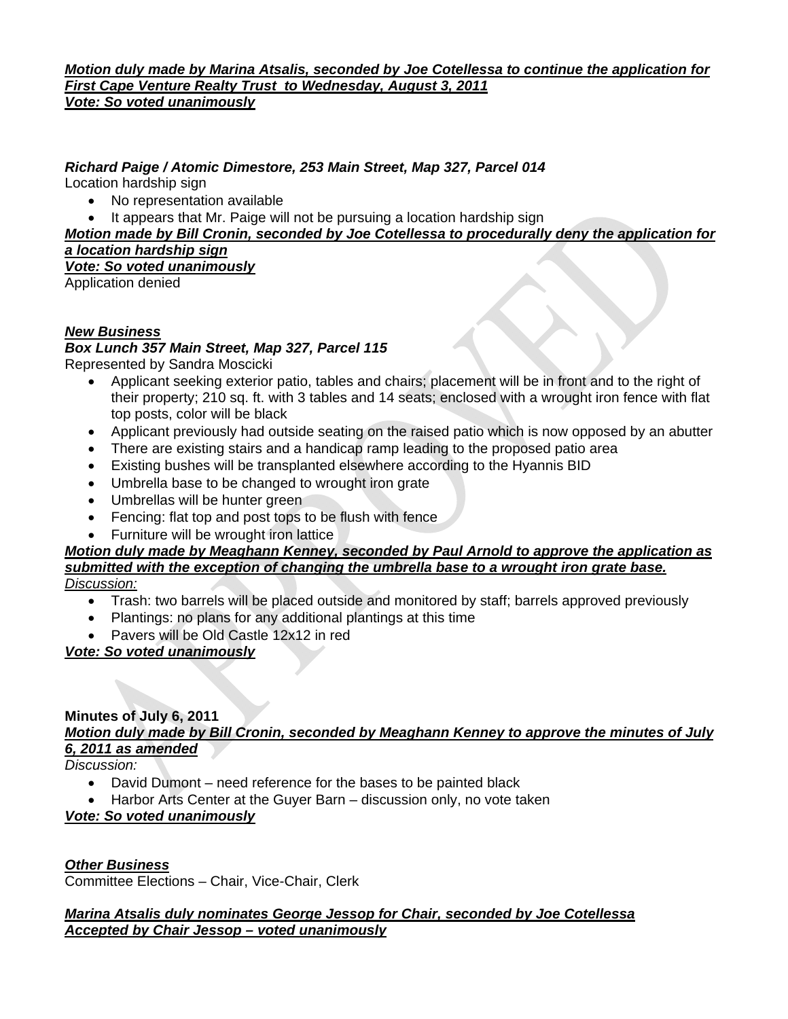#### *Motion duly made by Marina Atsalis, seconded by Joe Cotellessa to continue the application for First Cape Venture Realty Trust to Wednesday, August 3, 2011 Vote: So voted unanimously*

# *Richard Paige / Atomic Dimestore, 253 Main Street, Map 327, Parcel 014*

Location hardship sign

- No representation available
- It appears that Mr. Paige will not be pursuing a location hardship sign

*Motion made by Bill Cronin, seconded by Joe Cotellessa to procedurally deny the application for a location hardship sign*

*Vote: So voted unanimously*

Application denied

#### *New Business*

#### *Box Lunch 357 Main Street, Map 327, Parcel 115*

Represented by Sandra Moscicki

- Applicant seeking exterior patio, tables and chairs; placement will be in front and to the right of their property; 210 sq. ft. with 3 tables and 14 seats; enclosed with a wrought iron fence with flat top posts, color will be black
- Applicant previously had outside seating on the raised patio which is now opposed by an abutter
- There are existing stairs and a handicap ramp leading to the proposed patio area
- Existing bushes will be transplanted elsewhere according to the Hyannis BID
- Umbrella base to be changed to wrought iron grate
- Umbrellas will be hunter green
- Fencing: flat top and post tops to be flush with fence
- Furniture will be wrought iron lattice

# *Motion duly made by Meaghann Kenney, seconded by Paul Arnold to approve the application as submitted with the exception of changing the umbrella base to a wrought iron grate base.*

*Discussion:*

- Trash: two barrels will be placed outside and monitored by staff; barrels approved previously
- Plantings: no plans for any additional plantings at this time
- Pavers will be Old Castle 12x12 in red

## *Vote: So voted unanimously*

#### **Minutes of July 6, 2011**  *Motion duly made by Bill Cronin, seconded by Meaghann Kenney to approve the minutes of July 6, 2011 as amended*

*Discussion:* 

- David Dumont need reference for the bases to be painted black
- Harbor Arts Center at the Guyer Barn discussion only, no vote taken

## *Vote: So voted unanimously*

*Other Business* Committee Elections – Chair, Vice-Chair, Clerk

#### *Marina Atsalis duly nominates George Jessop for Chair, seconded by Joe Cotellessa Accepted by Chair Jessop – voted unanimously*